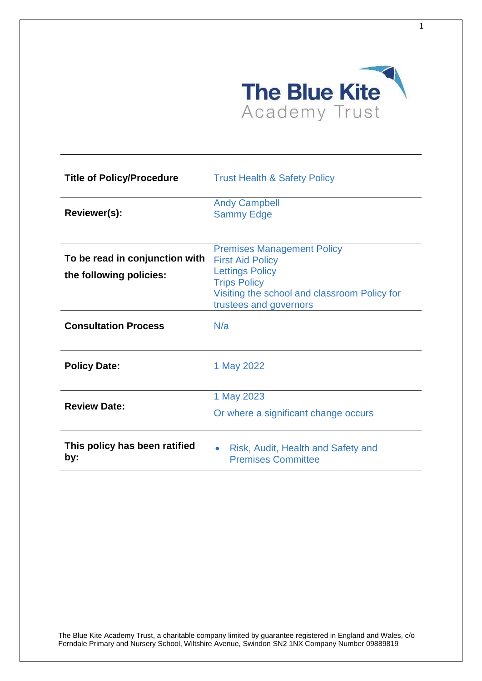

| <b>Title of Policy/Procedure</b>                          | <b>Trust Health &amp; Safety Policy</b>                                                                                                                                                 |
|-----------------------------------------------------------|-----------------------------------------------------------------------------------------------------------------------------------------------------------------------------------------|
| Reviewer(s):                                              | <b>Andy Campbell</b><br><b>Sammy Edge</b>                                                                                                                                               |
| To be read in conjunction with<br>the following policies: | <b>Premises Management Policy</b><br><b>First Aid Policy</b><br><b>Lettings Policy</b><br><b>Trips Policy</b><br>Visiting the school and classroom Policy for<br>trustees and governors |
| <b>Consultation Process</b>                               | N/a                                                                                                                                                                                     |
| <b>Policy Date:</b>                                       | 1 May 2022                                                                                                                                                                              |
| <b>Review Date:</b>                                       | 1 May 2023<br>Or where a significant change occurs                                                                                                                                      |
| This policy has been ratified<br>by:                      | Risk, Audit, Health and Safety and<br>$\bullet$<br><b>Premises Committee</b>                                                                                                            |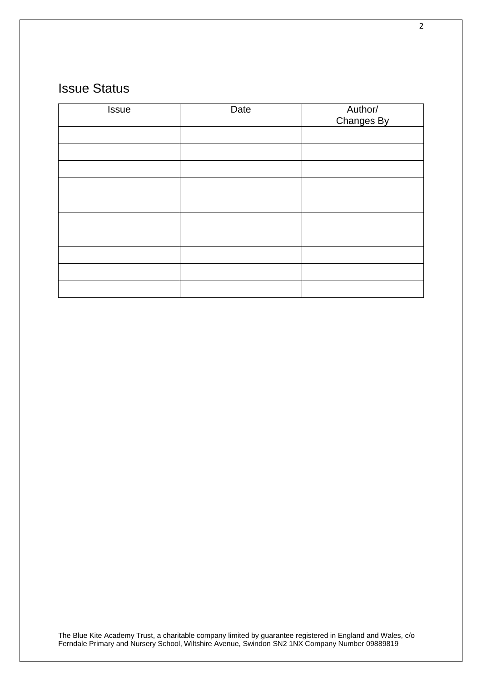# Issue Status

| Issue | Date | Author/<br>Changes By |
|-------|------|-----------------------|
|       |      |                       |
|       |      |                       |
|       |      |                       |
|       |      |                       |
|       |      |                       |
|       |      |                       |
|       |      |                       |
|       |      |                       |
|       |      |                       |
|       |      |                       |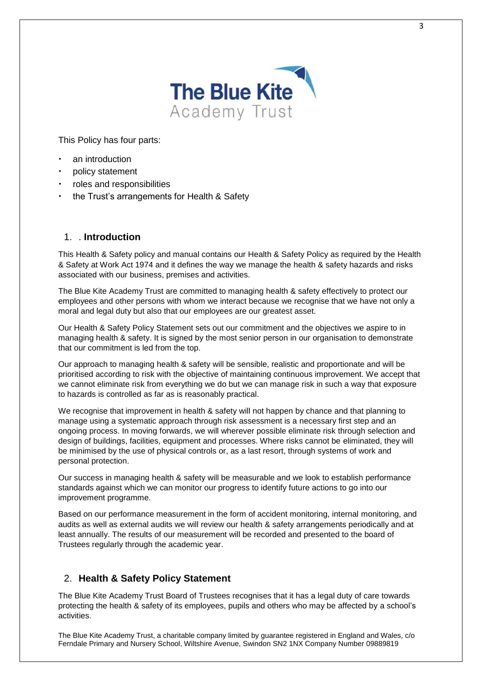

This Policy has four parts:

- an introduction
- policy statement
- roles and responsibilities
- the Trust's arrangements for Health & Safety

## 1 **Introduction**

This Health & Safety policy and manual contains our Health & Safety Policy as required by the Health & Safety at Work Act 1974 and it defines the way we manage the health & safety hazards and risks associated with our business, premises and activities.

The Blue Kite Academy Trust are committed to managing health & safety effectively to protect our employees and other persons with whom we interact because we recognise that we have not only a moral and legal duty but also that our employees are our greatest asset.

Our Health & Safety Policy Statement sets out our commitment and the objectives we aspire to in managing health & safety. It is signed by the most senior person in our organisation to demonstrate that our commitment is led from the top.

Our approach to managing health & safety will be sensible, realistic and proportionate and will be prioritised according to risk with the objective of maintaining continuous improvement. We accept that we cannot eliminate risk from everything we do but we can manage risk in such a way that exposure to hazards is controlled as far as is reasonably practical.

We recognise that improvement in health & safety will not happen by chance and that planning to manage using a systematic approach through risk assessment is a necessary first step and an ongoing process. In moving forwards, we will wherever possible eliminate risk through selection and design of buildings, facilities, equipment and processes. Where risks cannot be eliminated, they will be minimised by the use of physical controls or, as a last resort, through systems of work and personal protection.

Our success in managing health & safety will be measurable and we look to establish performance standards against which we can monitor our progress to identify future actions to go into our improvement programme.

Based on our performance measurement in the form of accident monitoring, internal monitoring, and audits as well as external audits we will review our health & safety arrangements periodically and at least annually. The results of our measurement will be recorded and presented to the board of Trustees regularly through the academic year.

# 2. **Health & Safety Policy Statement**

The Blue Kite Academy Trust Board of Trustees recognises that it has a legal duty of care towards protecting the health & safety of its employees, pupils and others who may be affected by a school's activities.

The Blue Kite Academy Trust, a charitable company limited by guarantee registered in England and Wales, c/o Ferndale Primary and Nursery School, Wiltshire Avenue, Swindon SN2 1NX Company Number 09889819

3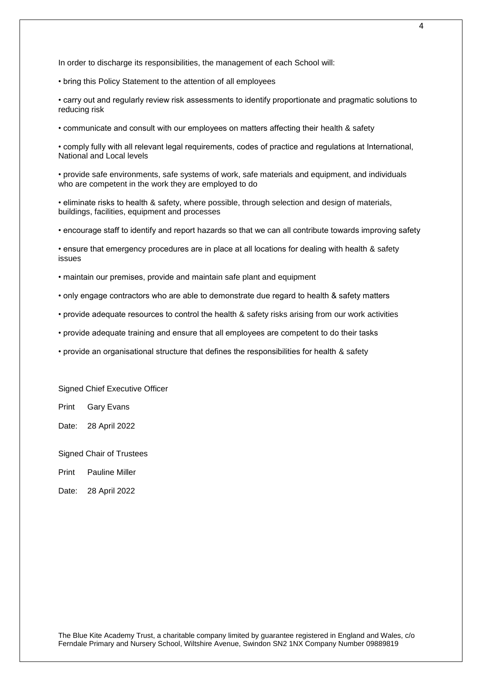In order to discharge its responsibilities, the management of each School will:

• bring this Policy Statement to the attention of all employees

• carry out and regularly review risk assessments to identify proportionate and pragmatic solutions to reducing risk

• communicate and consult with our employees on matters affecting their health & safety

• comply fully with all relevant legal requirements, codes of practice and regulations at International, National and Local levels

• provide safe environments, safe systems of work, safe materials and equipment, and individuals who are competent in the work they are employed to do

• eliminate risks to health & safety, where possible, through selection and design of materials, buildings, facilities, equipment and processes

• encourage staff to identify and report hazards so that we can all contribute towards improving safety

• ensure that emergency procedures are in place at all locations for dealing with health & safety issues

• maintain our premises, provide and maintain safe plant and equipment

- only engage contractors who are able to demonstrate due regard to health & safety matters
- provide adequate resources to control the health & safety risks arising from our work activities
- provide adequate training and ensure that all employees are competent to do their tasks
- provide an organisational structure that defines the responsibilities for health & safety

Signed Chief Executive Officer

Print Gary Evans

Date: 28 April 2022

Signed Chair of Trustees

Print Pauline Miller

Date: 28 April 2022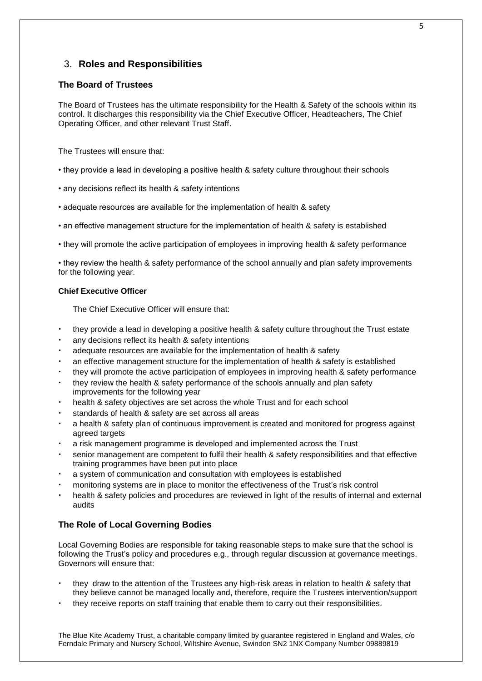# 3. **Roles and Responsibilities**

## **The Board of Trustees**

The Board of Trustees has the ultimate responsibility for the Health & Safety of the schools within its control. It discharges this responsibility via the Chief Executive Officer, Headteachers, The Chief Operating Officer, and other relevant Trust Staff.

The Trustees will ensure that:

- they provide a lead in developing a positive health & safety culture throughout their schools
- any decisions reflect its health & safety intentions
- adequate resources are available for the implementation of health & safety
- an effective management structure for the implementation of health & safety is established
- they will promote the active participation of employees in improving health & safety performance

• they review the health & safety performance of the school annually and plan safety improvements for the following year.

## **Chief Executive Officer**

The Chief Executive Officer will ensure that:

- they provide a lead in developing a positive health & safety culture throughout the Trust estate
- any decisions reflect its health & safety intentions
- adequate resources are available for the implementation of health & safety
- an effective management structure for the implementation of health & safety is established
- they will promote the active participation of employees in improving health & safety performance
- they review the health & safety performance of the schools annually and plan safety improvements for the following year
- health & safety objectives are set across the whole Trust and for each school
- standards of health & safety are set across all areas
- a health & safety plan of continuous improvement is created and monitored for progress against agreed targets
- a risk management programme is developed and implemented across the Trust
- senior management are competent to fulfil their health & safety responsibilities and that effective training programmes have been put into place
- a system of communication and consultation with employees is established
- monitoring systems are in place to monitor the effectiveness of the Trust's risk control
- health & safety policies and procedures are reviewed in light of the results of internal and external audits

# **The Role of Local Governing Bodies**

Local Governing Bodies are responsible for taking reasonable steps to make sure that the school is following the Trust's policy and procedures e.g., through regular discussion at governance meetings. Governors will ensure that:

- they draw to the attention of the Trustees any high-risk areas in relation to health & safety that they believe cannot be managed locally and, therefore, require the Trustees intervention/support
- they receive reports on staff training that enable them to carry out their responsibilities.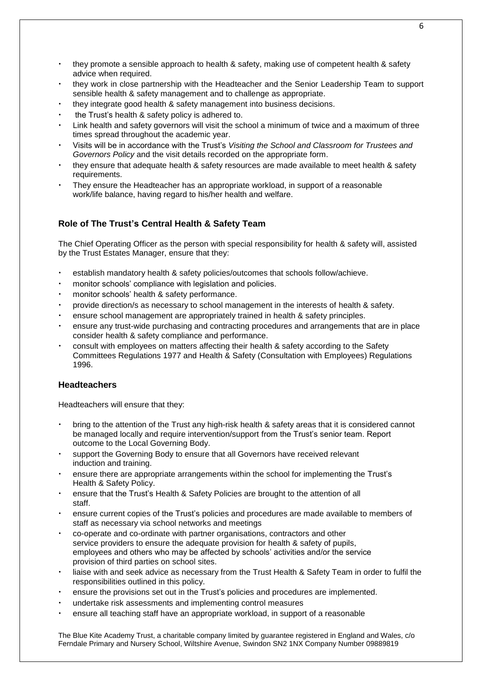- they promote a sensible approach to health & safety, making use of competent health & safety advice when required.
- they work in close partnership with the Headteacher and the Senior Leadership Team to support sensible health & safety management and to challenge as appropriate.
- they integrate good health & safety management into business decisions.
- the Trust's health & safety policy is adhered to.
- Link health and safety governors will visit the school a minimum of twice and a maximum of three times spread throughout the academic year.
- Visits will be in accordance with the Trust's *Visiting the School and Classroom for Trustees and Governors Policy* and the visit details recorded on the appropriate form.
- they ensure that adequate health & safety resources are made available to meet health & safety requirements.
- They ensure the Headteacher has an appropriate workload, in support of a reasonable work/life balance, having regard to his/her health and welfare.

# **Role of The Trust's Central Health & Safety Team**

The Chief Operating Officer as the person with special responsibility for health & safety will, assisted by the Trust Estates Manager, ensure that they:

- establish mandatory health & safety policies/outcomes that schools follow/achieve.
- monitor schools' compliance with legislation and policies.
- monitor schools' health & safety performance.
- provide direction/s as necessary to school management in the interests of health & safety.
- ensure school management are appropriately trained in health & safety principles.
- ensure any trust-wide purchasing and contracting procedures and arrangements that are in place consider health & safety compliance and performance.
- consult with employees on matters affecting their health & safety according to the Safety Committees Regulations 1977 and Health & Safety (Consultation with Employees) Regulations 1996.

## **Headteachers**

Headteachers will ensure that they:

- bring to the attention of the Trust any high-risk health & safety areas that it is considered cannot be managed locally and require intervention/support from the Trust's senior team. Report outcome to the Local Governing Body.
- support the Governing Body to ensure that all Governors have received relevant induction and training.
- ensure there are appropriate arrangements within the school for implementing the Trust's Health & Safety Policy.
- ensure that the Trust's Health & Safety Policies are brought to the attention of all staff.
- ensure current copies of the Trust's policies and procedures are made available to members of staff as necessary via school networks and meetings
- co-operate and co-ordinate with partner organisations, contractors and other service providers to ensure the adequate provision for health & safety of pupils, employees and others who may be affected by schools' activities and/or the service provision of third parties on school sites.
- liaise with and seek advice as necessary from the Trust Health & Safety Team in order to fulfil the responsibilities outlined in this policy.
- ensure the provisions set out in the Trust's policies and procedures are implemented.
- undertake risk assessments and implementing control measures
- ensure all teaching staff have an appropriate workload, in support of a reasonable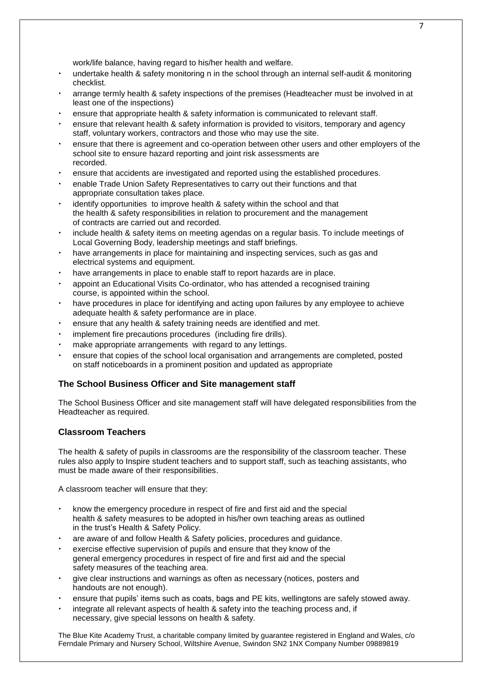work/life balance, having regard to his/her health and welfare.

- undertake health & safety monitoring n in the school through an internal self-audit & monitoring checklist.
- arrange termly health & safety inspections of the premises (Headteacher must be involved in at least one of the inspections)
- ensure that appropriate health & safety information is communicated to relevant staff.
- ensure that relevant health & safety information is provided to visitors, temporary and agency staff, voluntary workers, contractors and those who may use the site.
- ensure that there is agreement and co-operation between other users and other employers of the school site to ensure hazard reporting and joint risk assessments are recorded.
- ensure that accidents are investigated and reported using the established procedures.
- enable Trade Union Safety Representatives to carry out their functions and that appropriate consultation takes place.
- identify opportunities to improve health & safety within the school and that the health & safety responsibilities in relation to procurement and the management of contracts are carried out and recorded.
- include health & safety items on meeting agendas on a regular basis. To include meetings of Local Governing Body, leadership meetings and staff briefings.
- have arrangements in place for maintaining and inspecting services, such as gas and electrical systems and equipment.
- have arrangements in place to enable staff to report hazards are in place.
- appoint an Educational Visits Co-ordinator, who has attended a recognised training course, is appointed within the school.
- have procedures in place for identifying and acting upon failures by any employee to achieve adequate health & safety performance are in place.
- ensure that any health & safety training needs are identified and met.
- implement fire precautions procedures (including fire drills).
- make appropriate arrangements with regard to any lettings.
- ensure that copies of the school local organisation and arrangements are completed, posted on staff noticeboards in a prominent position and updated as appropriate

#### **The School Business Officer and Site management staff**

The School Business Officer and site management staff will have delegated responsibilities from the Headteacher as required.

#### **Classroom Teachers**

The health & safety of pupils in classrooms are the responsibility of the classroom teacher. These rules also apply to Inspire student teachers and to support staff, such as teaching assistants, who must be made aware of their responsibilities.

A classroom teacher will ensure that they:

- know the emergency procedure in respect of fire and first aid and the special health & safety measures to be adopted in his/her own teaching areas as outlined in the trust's Health & Safety Policy.
- are aware of and follow Health & Safety policies, procedures and guidance.
- exercise effective supervision of pupils and ensure that they know of the general emergency procedures in respect of fire and first aid and the special safety measures of the teaching area.
- give clear instructions and warnings as often as necessary (notices, posters and handouts are not enough).
- ensure that pupils' items such as coats, bags and PE kits, wellingtons are safely stowed away.
- integrate all relevant aspects of health & safety into the teaching process and, if necessary, give special lessons on health & safety.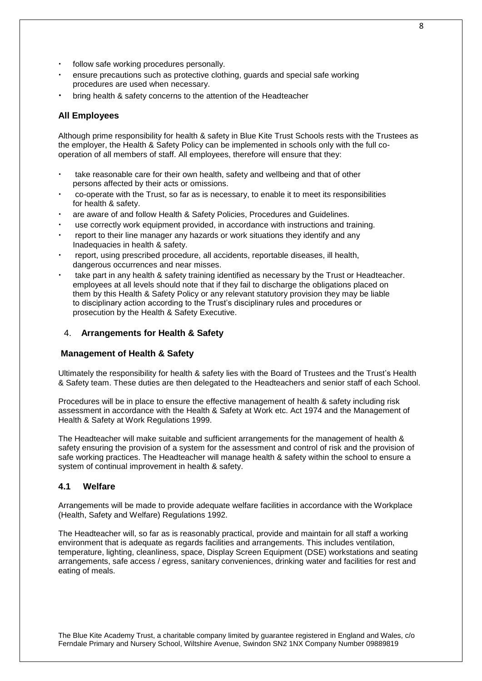- follow safe working procedures personally.
- ensure precautions such as protective clothing, guards and special safe working procedures are used when necessary.
- bring health & safety concerns to the attention of the Headteacher

## **All Employees**

Although prime responsibility for health & safety in Blue Kite Trust Schools rests with the Trustees as the employer, the Health & Safety Policy can be implemented in schools only with the full cooperation of all members of staff. All employees, therefore will ensure that they:

- take reasonable care for their own health, safety and wellbeing and that of other persons affected by their acts or omissions.
- co-operate with the Trust, so far as is necessary, to enable it to meet its responsibilities for health & safety.
- are aware of and follow Health & Safety Policies, Procedures and Guidelines.
- use correctly work equipment provided, in accordance with instructions and training.
- report to their line manager any hazards or work situations they identify and any Inadequacies in health & safety.
- report, using prescribed procedure, all accidents, reportable diseases, ill health, dangerous occurrences and near misses.
- take part in any health & safety training identified as necessary by the Trust or Headteacher. employees at all levels should note that if they fail to discharge the obligations placed on them by this Health & Safety Policy or any relevant statutory provision they may be liable to disciplinary action according to the Trust's disciplinary rules and procedures or prosecution by the Health & Safety Executive.

## 4. **Arrangements for Health & Safety**

## **Management of Health & Safety**

Ultimately the responsibility for health & safety lies with the Board of Trustees and the Trust's Health & Safety team. These duties are then delegated to the Headteachers and senior staff of each School.

Procedures will be in place to ensure the effective management of health & safety including risk assessment in accordance with the Health & Safety at Work etc. Act 1974 and the Management of Health & Safety at Work Regulations 1999.

The Headteacher will make suitable and sufficient arrangements for the management of health & safety ensuring the provision of a system for the assessment and control of risk and the provision of safe working practices. The Headteacher will manage health & safety within the school to ensure a system of continual improvement in health & safety.

## **4.1 Welfare**

Arrangements will be made to provide adequate welfare facilities in accordance with the Workplace (Health, Safety and Welfare) Regulations 1992.

The Headteacher will, so far as is reasonably practical, provide and maintain for all staff a working environment that is adequate as regards facilities and arrangements. This includes ventilation, temperature, lighting, cleanliness, space, Display Screen Equipment (DSE) workstations and seating arrangements, safe access / egress, sanitary conveniences, drinking water and facilities for rest and eating of meals.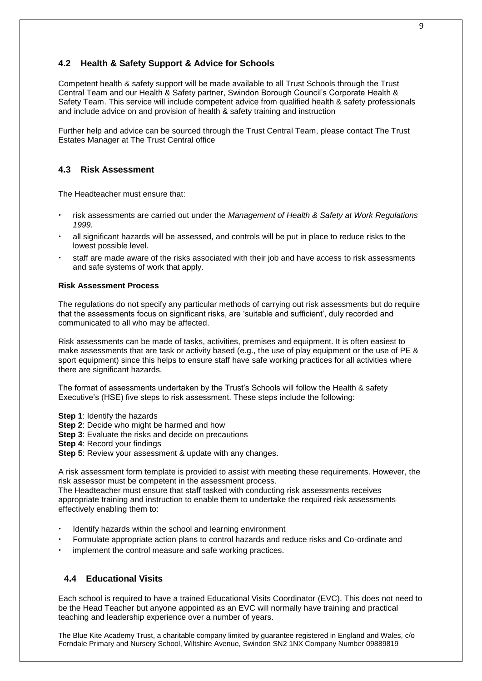# **4.2 Health & Safety Support & Advice for Schools**

Competent health & safety support will be made available to all Trust Schools through the Trust Central Team and our Health & Safety partner, Swindon Borough Council's Corporate Health & Safety Team. This service will include competent advice from qualified health & safety professionals and include advice on and provision of health & safety training and instruction

Further help and advice can be sourced through the Trust Central Team, please contact The Trust Estates Manager at The Trust Central office

## **4.3 Risk Assessment**

The Headteacher must ensure that:

- risk assessments are carried out under the *Management of Health & Safety at Work Regulations 1999.*
- all significant hazards will be assessed, and controls will be put in place to reduce risks to the lowest possible level.
- staff are made aware of the risks associated with their job and have access to risk assessments and safe systems of work that apply.

#### **Risk Assessment Process**

The regulations do not specify any particular methods of carrying out risk assessments but do require that the assessments focus on significant risks, are 'suitable and sufficient', duly recorded and communicated to all who may be affected.

Risk assessments can be made of tasks, activities, premises and equipment. It is often easiest to make assessments that are task or activity based (e.g., the use of play equipment or the use of PE & sport equipment) since this helps to ensure staff have safe working practices for all activities where there are significant hazards.

The format of assessments undertaken by the Trust's Schools will follow the Health & safety Executive's (HSE) five steps to risk assessment. These steps include the following:

**Step 1**: Identify the hazards

**Step 2**: Decide who might be harmed and how

**Step 3**: Evaluate the risks and decide on precautions

**Step 4**: Record your findings

**Step 5**: Review your assessment & update with any changes.

A risk assessment form template is provided to assist with meeting these requirements. However, the risk assessor must be competent in the assessment process.

The Headteacher must ensure that staff tasked with conducting risk assessments receives appropriate training and instruction to enable them to undertake the required risk assessments effectively enabling them to:

- Identify hazards within the school and learning environment
- Formulate appropriate action plans to control hazards and reduce risks and Co-ordinate and
- implement the control measure and safe working practices.

# **4.4 Educational Visits**

Each school is required to have a trained Educational Visits Coordinator (EVC). This does not need to be the Head Teacher but anyone appointed as an EVC will normally have training and practical teaching and leadership experience over a number of years.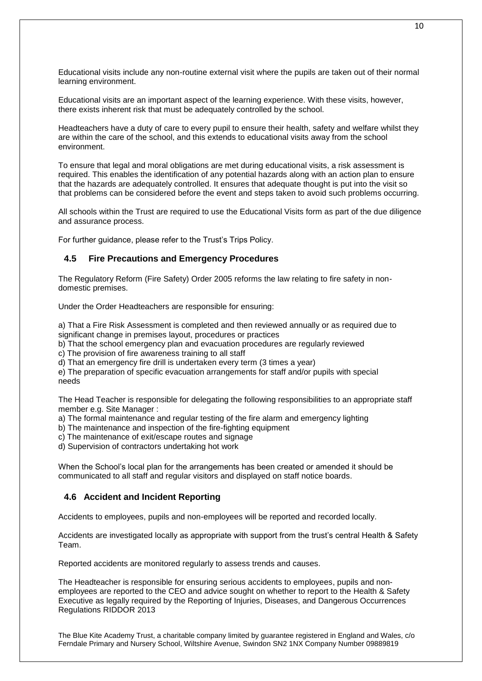Educational visits include any non-routine external visit where the pupils are taken out of their normal learning environment.

Educational visits are an important aspect of the learning experience. With these visits, however, there exists inherent risk that must be adequately controlled by the school.

Headteachers have a duty of care to every pupil to ensure their health, safety and welfare whilst they are within the care of the school, and this extends to educational visits away from the school environment.

To ensure that legal and moral obligations are met during educational visits, a risk assessment is required. This enables the identification of any potential hazards along with an action plan to ensure that the hazards are adequately controlled. It ensures that adequate thought is put into the visit so that problems can be considered before the event and steps taken to avoid such problems occurring.

All schools within the Trust are required to use the Educational Visits form as part of the due diligence and assurance process.

For further guidance, please refer to the Trust's Trips Policy.

#### **4.5 Fire Precautions and Emergency Procedures**

The Regulatory Reform (Fire Safety) Order 2005 reforms the law relating to fire safety in nondomestic premises.

Under the Order Headteachers are responsible for ensuring:

a) That a Fire Risk Assessment is completed and then reviewed annually or as required due to significant change in premises layout, procedures or practices

b) That the school emergency plan and evacuation procedures are regularly reviewed

c) The provision of fire awareness training to all staff

d) That an emergency fire drill is undertaken every term (3 times a year)

e) The preparation of specific evacuation arrangements for staff and/or pupils with special needs

The Head Teacher is responsible for delegating the following responsibilities to an appropriate staff member e.g. Site Manager :

a) The formal maintenance and regular testing of the fire alarm and emergency lighting

- b) The maintenance and inspection of the fire-fighting equipment
- c) The maintenance of exit/escape routes and signage
- d) Supervision of contractors undertaking hot work

When the School's local plan for the arrangements has been created or amended it should be communicated to all staff and regular visitors and displayed on staff notice boards.

#### **4.6 Accident and Incident Reporting**

Accidents to employees, pupils and non-employees will be reported and recorded locally.

Accidents are investigated locally as appropriate with support from the trust's central Health & Safety Team.

Reported accidents are monitored regularly to assess trends and causes.

The Headteacher is responsible for ensuring serious accidents to employees, pupils and nonemployees are reported to the CEO and advice sought on whether to report to the Health & Safety Executive as legally required by the Reporting of Injuries, Diseases, and Dangerous Occurrences Regulations RIDDOR 2013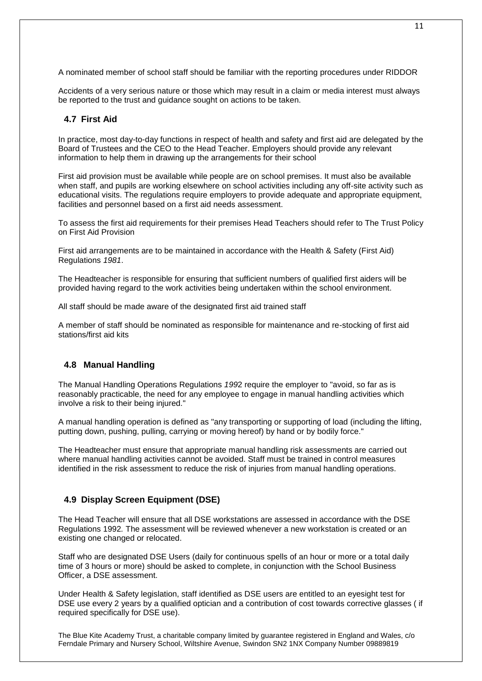A nominated member of school staff should be familiar with the reporting procedures under RIDDOR

Accidents of a very serious nature or those which may result in a claim or media interest must always be reported to the trust and guidance sought on actions to be taken.

## **4.7 First Aid**

In practice, most day-to-day functions in respect of health and safety and first aid are delegated by the Board of Trustees and the CEO to the Head Teacher. Employers should provide any relevant information to help them in drawing up the arrangements for their school

First aid provision must be available while people are on school premises. It must also be available when staff, and pupils are working elsewhere on school activities including any off-site activity such as educational visits. The regulations require employers to provide adequate and appropriate equipment, facilities and personnel based on a first aid needs assessment.

To assess the first aid requirements for their premises Head Teachers should refer to The Trust Policy on First Aid Provision

First aid arrangements are to be maintained in accordance with the Health & Safety (First Aid) Regulations *1981*.

The Headteacher is responsible for ensuring that sufficient numbers of qualified first aiders will be provided having regard to the work activities being undertaken within the school environment.

All staff should be made aware of the designated first aid trained staff

A member of staff should be nominated as responsible for maintenance and re-stocking of first aid stations/first aid kits

## **4.8 Manual Handling**

The Manual Handling Operations Regulations *199*2 require the employer to "avoid, so far as is reasonably practicable, the need for any employee to engage in manual handling activities which involve a risk to their being injured."

A manual handling operation is defined as "any transporting or supporting of load (including the lifting, putting down, pushing, pulling, carrying or moving hereof) by hand or by bodily force."

The Headteacher must ensure that appropriate manual handling risk assessments are carried out where manual handling activities cannot be avoided. Staff must be trained in control measures identified in the risk assessment to reduce the risk of injuries from manual handling operations.

## **4.9 Display Screen Equipment (DSE)**

The Head Teacher will ensure that all DSE workstations are assessed in accordance with the DSE Regulations 1992*.* The assessment will be reviewed whenever a new workstation is created or an existing one changed or relocated.

Staff who are designated DSE Users (daily for continuous spells of an hour or more or a total daily time of 3 hours or more) should be asked to complete, in conjunction with the School Business Officer, a DSE assessment.

Under Health & Safety legislation, staff identified as DSE users are entitled to an eyesight test for DSE use every 2 years by a qualified optician and a contribution of cost towards corrective glasses ( if required specifically for DSE use).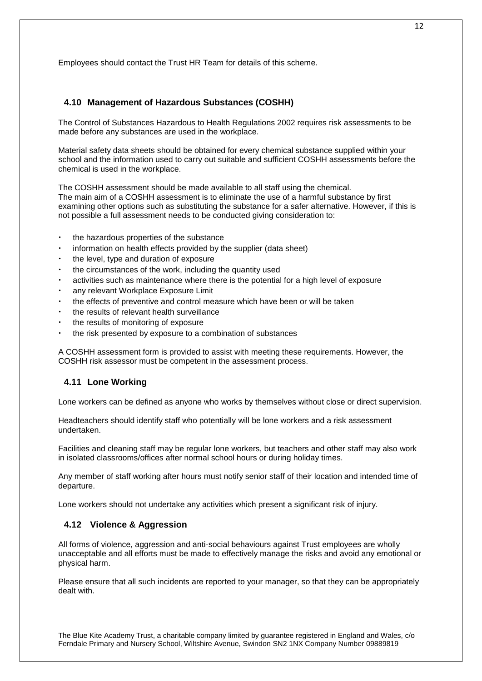Employees should contact the Trust HR Team for details of this scheme.

## **4.10 Management of Hazardous Substances (COSHH)**

The Control of Substances Hazardous to Health Regulations 2002 requires risk assessments to be made before any substances are used in the workplace.

Material safety data sheets should be obtained for every chemical substance supplied within your school and the information used to carry out suitable and sufficient COSHH assessments before the chemical is used in the workplace.

The COSHH assessment should be made available to all staff using the chemical. The main aim of a COSHH assessment is to eliminate the use of a harmful substance by first examining other options such as substituting the substance for a safer alternative. However, if this is not possible a full assessment needs to be conducted giving consideration to:

- the hazardous properties of the substance
- information on health effects provided by the supplier (data sheet)
- the level, type and duration of exposure
- the circumstances of the work, including the quantity used
- activities such as maintenance where there is the potential for a high level of exposure
- any relevant Workplace Exposure Limit
- the effects of preventive and control measure which have been or will be taken
- the results of relevant health surveillance
- the results of monitoring of exposure
- the risk presented by exposure to a combination of substances

A COSHH assessment form is provided to assist with meeting these requirements. However, the COSHH risk assessor must be competent in the assessment process.

## **4.11 Lone Working**

Lone workers can be defined as anyone who works by themselves without close or direct supervision.

Headteachers should identify staff who potentially will be lone workers and a risk assessment undertaken.

Facilities and cleaning staff may be regular lone workers, but teachers and other staff may also work in isolated classrooms/offices after normal school hours or during holiday times.

Any member of staff working after hours must notify senior staff of their location and intended time of departure.

Lone workers should not undertake any activities which present a significant risk of injury.

## **4.12 Violence & Aggression**

All forms of violence, aggression and anti-social behaviours against Trust employees are wholly unacceptable and all efforts must be made to effectively manage the risks and avoid any emotional or physical harm.

Please ensure that all such incidents are reported to your manager, so that they can be appropriately dealt with.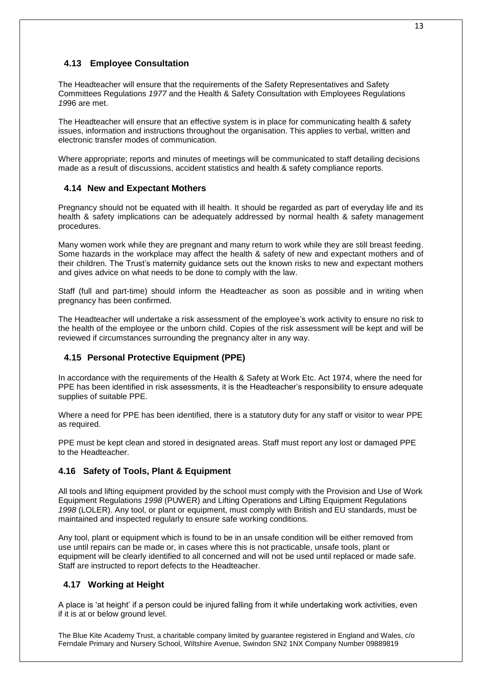# **4.13 Employee Consultation**

The Headteacher will ensure that the requirements of the Safety Representatives and Safety Committees Regulations *1977* and the Health & Safety Consultation with Employees Regulations *19*96 are met.

The Headteacher will ensure that an effective system is in place for communicating health & safety issues, information and instructions throughout the organisation. This applies to verbal, written and electronic transfer modes of communication.

Where appropriate; reports and minutes of meetings will be communicated to staff detailing decisions made as a result of discussions, accident statistics and health & safety compliance reports.

## **4.14 New and Expectant Mothers**

Pregnancy should not be equated with ill health. It should be regarded as part of everyday life and its health & safety implications can be adequately addressed by normal health & safety management procedures.

Many women work while they are pregnant and many return to work while they are still breast feeding. Some hazards in the workplace may affect the health & safety of new and expectant mothers and of their children. The Trust's maternity guidance sets out the known risks to new and expectant mothers and gives advice on what needs to be done to comply with the law.

Staff (full and part-time) should inform the Headteacher as soon as possible and in writing when pregnancy has been confirmed.

The Headteacher will undertake a risk assessment of the employee's work activity to ensure no risk to the health of the employee or the unborn child. Copies of the risk assessment will be kept and will be reviewed if circumstances surrounding the pregnancy alter in any way.

# **4.15 Personal Protective Equipment (PPE)**

In accordance with the requirements of the Health & Safety at Work Etc. Act 1974, where the need for PPE has been identified in risk assessments, it is the Headteacher's responsibility to ensure adequate supplies of suitable PPE.

Where a need for PPE has been identified, there is a statutory duty for any staff or visitor to wear PPE as required.

PPE must be kept clean and stored in designated areas. Staff must report any lost or damaged PPE to the Headteacher.

# **4.16 Safety of Tools, Plant & Equipment**

All tools and lifting equipment provided by the school must comply with the Provision and Use of Work Equipment Regulations *1998* (PUWER) and Lifting Operations and Lifting Equipment Regulations *1998* (LOLER). Any tool, or plant or equipment, must comply with British and EU standards, must be maintained and inspected regularly to ensure safe working conditions.

Any tool, plant or equipment which is found to be in an unsafe condition will be either removed from use until repairs can be made or, in cases where this is not practicable, unsafe tools, plant or equipment will be clearly identified to all concerned and will not be used until replaced or made safe. Staff are instructed to report defects to the Headteacher.

# **4.17 Working at Height**

A place is 'at height' if a person could be injured falling from it while undertaking work activities, even if it is at or below ground level.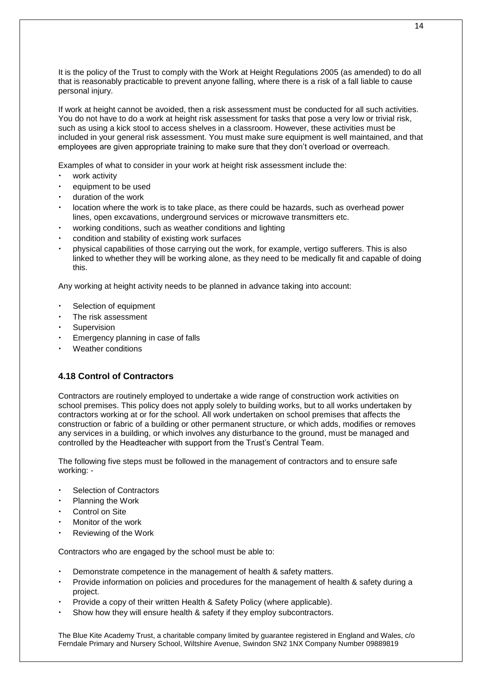It is the policy of the Trust to comply with the Work at Height Regulations 2005 (as amended) to do all that is reasonably practicable to prevent anyone falling, where there is a risk of a fall liable to cause personal injury.

If work at height cannot be avoided, then a risk assessment must be conducted for all such activities. You do not have to do a work at height risk assessment for tasks that pose a very low or trivial risk, such as using a kick stool to access shelves in a classroom. However, these activities must be included in your general risk assessment. You must make sure equipment is well maintained, and that employees are given appropriate training to make sure that they don't overload or overreach.

Examples of what to consider in your work at height risk assessment include the:

- work activity
- equipment to be used
- duration of the work
- location where the work is to take place, as there could be hazards, such as overhead power lines, open excavations, underground services or microwave transmitters etc.
- working conditions, such as weather conditions and lighting
- condition and stability of existing work surfaces
- physical capabilities of those carrying out the work, for example, vertigo sufferers. This is also linked to whether they will be working alone, as they need to be medically fit and capable of doing this.

Any working at height activity needs to be planned in advance taking into account:

- Selection of equipment
- The risk assessment
- **Supervision**
- Emergency planning in case of falls
- Weather conditions

# **4.18 Control of Contractors**

Contractors are routinely employed to undertake a wide range of construction work activities on school premises. This policy does not apply solely to building works, but to all works undertaken by contractors working at or for the school. All work undertaken on school premises that affects the construction or fabric of a building or other permanent structure, or which adds, modifies or removes any services in a building, or which involves any disturbance to the ground, must be managed and controlled by the Headteacher with support from the Trust's Central Team.

The following five steps must be followed in the management of contractors and to ensure safe working: -

- Selection of Contractors
- Planning the Work
- Control on Site
- Monitor of the work
- Reviewing of the Work

Contractors who are engaged by the school must be able to:

- Demonstrate competence in the management of health & safety matters.
- Provide information on policies and procedures for the management of health & safety during a project.
- Provide a copy of their written Health & Safety Policy (where applicable).
- Show how they will ensure health & safety if they employ subcontractors.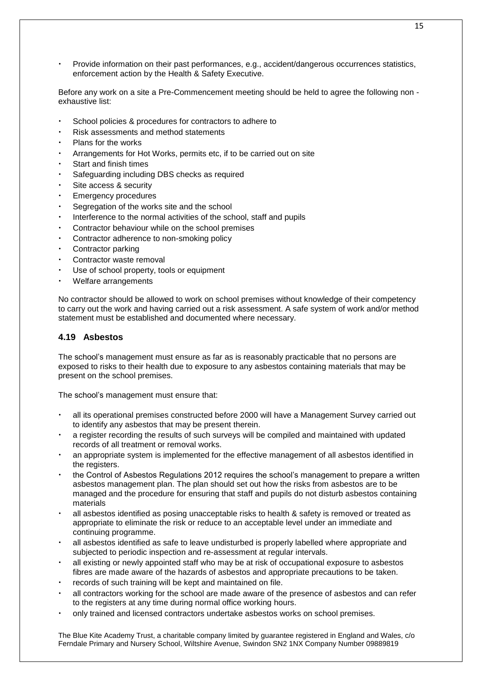• Provide information on their past performances, e.g., accident/dangerous occurrences statistics, enforcement action by the Health & Safety Executive.

Before any work on a site a Pre-Commencement meeting should be held to agree the following non exhaustive list:

- School policies & procedures for contractors to adhere to
- Risk assessments and method statements
- Plans for the works
- Arrangements for Hot Works, permits etc, if to be carried out on site
- Start and finish times
- Safeguarding including DBS checks as required
- Site access & security
- Emergency procedures
- Segregation of the works site and the school
- Interference to the normal activities of the school, staff and pupils
- Contractor behaviour while on the school premises
- Contractor adherence to non-smoking policy
- Contractor parking
- Contractor waste removal
- Use of school property, tools or equipment
- Welfare arrangements

No contractor should be allowed to work on school premises without knowledge of their competency to carry out the work and having carried out a risk assessment. A safe system of work and/or method statement must be established and documented where necessary.

#### **4.19 Asbestos**

The school's management must ensure as far as is reasonably practicable that no persons are exposed to risks to their health due to exposure to any asbestos containing materials that may be present on the school premises.

The school's management must ensure that:

- all its operational premises constructed before 2000 will have a Management Survey carried out to identify any asbestos that may be present therein.
- a register recording the results of such surveys will be compiled and maintained with updated records of all treatment or removal works.
- an appropriate system is implemented for the effective management of all asbestos identified in the registers.
- the Control of Asbestos Regulations 2012 requires the school's management to prepare a written asbestos management plan. The plan should set out how the risks from asbestos are to be managed and the procedure for ensuring that staff and pupils do not disturb asbestos containing materials
- all asbestos identified as posing unacceptable risks to health & safety is removed or treated as appropriate to eliminate the risk or reduce to an acceptable level under an immediate and continuing programme.
- all asbestos identified as safe to leave undisturbed is properly labelled where appropriate and subjected to periodic inspection and re-assessment at regular intervals.
- all existing or newly appointed staff who may be at risk of occupational exposure to asbestos fibres are made aware of the hazards of asbestos and appropriate precautions to be taken.
- records of such training will be kept and maintained on file.
- all contractors working for the school are made aware of the presence of asbestos and can refer to the registers at any time during normal office working hours.
- only trained and licensed contractors undertake asbestos works on school premises.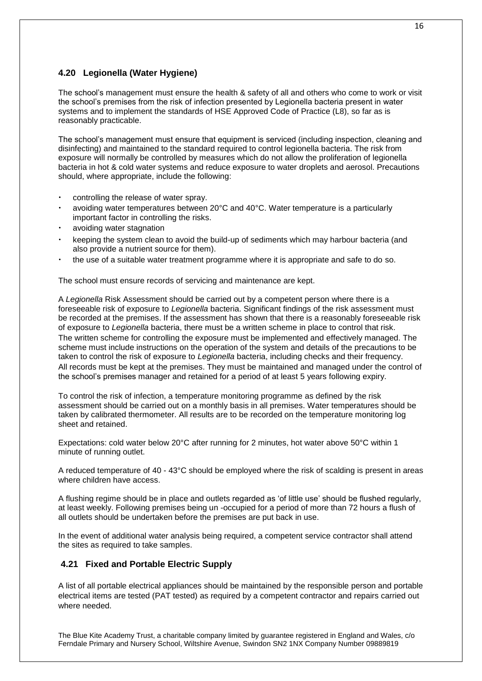# **4.20 Legionella (Water Hygiene)**

The school's management must ensure the health & safety of all and others who come to work or visit the school's premises from the risk of infection presented by Legionella bacteria present in water systems and to implement the standards of HSE Approved Code of Practice (L8), so far as is reasonably practicable.

The school's management must ensure that equipment is serviced (including inspection, cleaning and disinfecting) and maintained to the standard required to control legionella bacteria. The risk from exposure will normally be controlled by measures which do not allow the proliferation of legionella bacteria in hot & cold water systems and reduce exposure to water droplets and aerosol. Precautions should, where appropriate, include the following:

- controlling the release of water spray.
- avoiding water temperatures between 20°C and 40°C. Water temperature is a particularly important factor in controlling the risks.
- avoiding water stagnation
- keeping the system clean to avoid the build-up of sediments which may harbour bacteria (and also provide a nutrient source for them).
- the use of a suitable water treatment programme where it is appropriate and safe to do so.

The school must ensure records of servicing and maintenance are kept.

A *Legionella* Risk Assessment should be carried out by a competent person where there is a foreseeable risk of exposure to *Legionella* bacteria. Significant findings of the risk assessment must be recorded at the premises. If the assessment has shown that there is a reasonably foreseeable risk of exposure to *Legionella* bacteria, there must be a written scheme in place to control that risk. The written scheme for controlling the exposure must be implemented and effectively managed. The scheme must include instructions on the operation of the system and details of the precautions to be taken to control the risk of exposure to *Legionella* bacteria, including checks and their frequency. All records must be kept at the premises. They must be maintained and managed under the control of the school's premises manager and retained for a period of at least 5 years following expiry.

To control the risk of infection, a temperature monitoring programme as defined by the risk assessment should be carried out on a monthly basis in all premises. Water temperatures should be taken by calibrated thermometer. All results are to be recorded on the temperature monitoring log sheet and retained.

Expectations: cold water below 20°C after running for 2 minutes, hot water above 50°C within 1 minute of running outlet.

A reduced temperature of 40 - 43°C should be employed where the risk of scalding is present in areas where children have access.

A flushing regime should be in place and outlets regarded as 'of little use' should be flushed regularly, at least weekly. Following premises being un -occupied for a period of more than 72 hours a flush of all outlets should be undertaken before the premises are put back in use.

In the event of additional water analysis being required, a competent service contractor shall attend the sites as required to take samples.

# **4.21 Fixed and Portable Electric Supply**

A list of all portable electrical appliances should be maintained by the responsible person and portable electrical items are tested (PAT tested) as required by a competent contractor and repairs carried out where needed.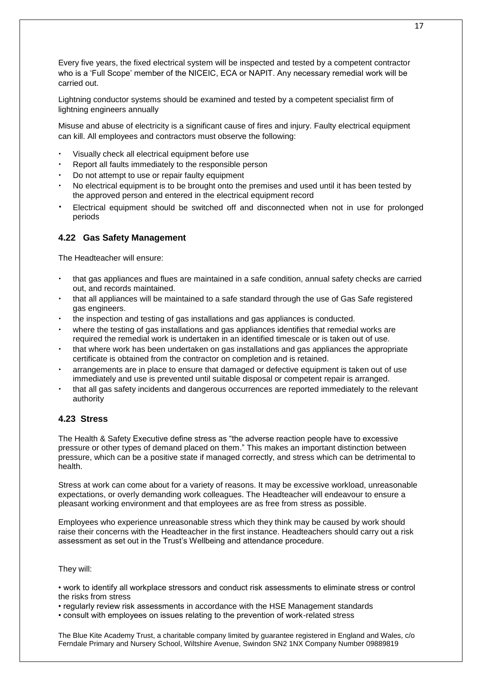Every five years, the fixed electrical system will be inspected and tested by a competent contractor who is a 'Full Scope' member of the NICEIC, ECA or NAPIT. Any necessary remedial work will be carried out.

Lightning conductor systems should be examined and tested by a competent specialist firm of lightning engineers annually

Misuse and abuse of electricity is a significant cause of fires and injury. Faulty electrical equipment can kill. All employees and contractors must observe the following:

- Visually check all electrical equipment before use
- Report all faults immediately to the responsible person
- Do not attempt to use or repair faulty equipment
- No electrical equipment is to be brought onto the premises and used until it has been tested by the approved person and entered in the electrical equipment record
- Electrical equipment should be switched off and disconnected when not in use for prolonged periods

#### **4.22 Gas Safety Management**

The Headteacher will ensure:

- that gas appliances and flues are maintained in a safe condition, annual safety checks are carried out, and records maintained.
- that all appliances will be maintained to a safe standard through the use of Gas Safe registered gas engineers.
- the inspection and testing of gas installations and gas appliances is conducted.
- where the testing of gas installations and gas appliances identifies that remedial works are required the remedial work is undertaken in an identified timescale or is taken out of use.
- that where work has been undertaken on gas installations and gas appliances the appropriate certificate is obtained from the contractor on completion and is retained.
- arrangements are in place to ensure that damaged or defective equipment is taken out of use immediately and use is prevented until suitable disposal or competent repair is arranged.
- that all gas safety incidents and dangerous occurrences are reported immediately to the relevant authority

## **4.23 Stress**

The Health & Safety Executive define stress as "the adverse reaction people have to excessive pressure or other types of demand placed on them." This makes an important distinction between pressure, which can be a positive state if managed correctly, and stress which can be detrimental to health.

Stress at work can come about for a variety of reasons. It may be excessive workload, unreasonable expectations, or overly demanding work colleagues. The Headteacher will endeavour to ensure a pleasant working environment and that employees are as free from stress as possible.

Employees who experience unreasonable stress which they think may be caused by work should raise their concerns with the Headteacher in the first instance. Headteachers should carry out a risk assessment as set out in the Trust's Wellbeing and attendance procedure.

#### They will:

• work to identify all workplace stressors and conduct risk assessments to eliminate stress or control the risks from stress

• regularly review risk assessments in accordance with the HSE Management standards

• consult with employees on issues relating to the prevention of work-related stress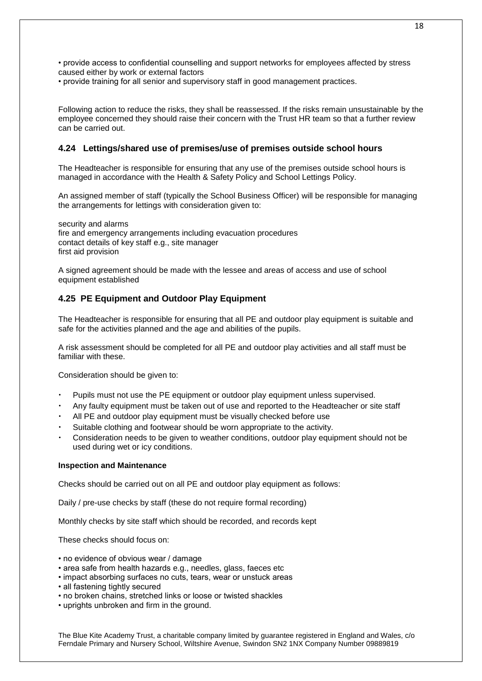• provide access to confidential counselling and support networks for employees affected by stress caused either by work or external factors

• provide training for all senior and supervisory staff in good management practices.

Following action to reduce the risks, they shall be reassessed. If the risks remain unsustainable by the employee concerned they should raise their concern with the Trust HR team so that a further review can be carried out.

## **4.24 Lettings/shared use of premises/use of premises outside school hours**

The Headteacher is responsible for ensuring that any use of the premises outside school hours is managed in accordance with the Health & Safety Policy and School Lettings Policy.

An assigned member of staff (typically the School Business Officer) will be responsible for managing the arrangements for lettings with consideration given to:

security and alarms fire and emergency arrangements including evacuation procedures contact details of key staff e.g., site manager first aid provision

A signed agreement should be made with the lessee and areas of access and use of school equipment established

## **4.25 PE Equipment and Outdoor Play Equipment**

The Headteacher is responsible for ensuring that all PE and outdoor play equipment is suitable and safe for the activities planned and the age and abilities of the pupils.

A risk assessment should be completed for all PE and outdoor play activities and all staff must be familiar with these.

Consideration should be given to:

- Pupils must not use the PE equipment or outdoor play equipment unless supervised.
- Any faulty equipment must be taken out of use and reported to the Headteacher or site staff
- All PE and outdoor play equipment must be visually checked before use
- Suitable clothing and footwear should be worn appropriate to the activity.
- Consideration needs to be given to weather conditions, outdoor play equipment should not be used during wet or icy conditions.

#### **Inspection and Maintenance**

Checks should be carried out on all PE and outdoor play equipment as follows:

Daily / pre-use checks by staff (these do not require formal recording)

Monthly checks by site staff which should be recorded, and records kept

These checks should focus on:

- no evidence of obvious wear / damage
- area safe from health hazards e.g., needles, glass, faeces etc
- impact absorbing surfaces no cuts, tears, wear or unstuck areas
- all fastening tightly secured
- no broken chains, stretched links or loose or twisted shackles
- uprights unbroken and firm in the ground.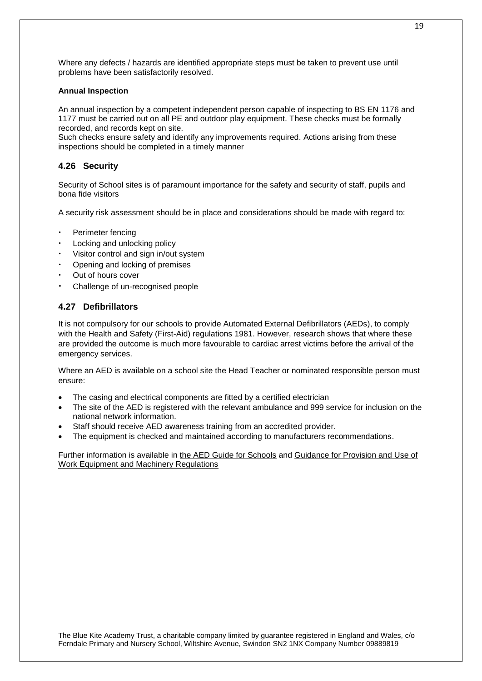Where any defects / hazards are identified appropriate steps must be taken to prevent use until problems have been satisfactorily resolved.

#### **Annual Inspection**

An annual inspection by a competent independent person capable of inspecting to BS EN 1176 and 1177 must be carried out on all PE and outdoor play equipment. These checks must be formally recorded, and records kept on site.

Such checks ensure safety and identify any improvements required. Actions arising from these inspections should be completed in a timely manner

# **4.26 Security**

Security of School sites is of paramount importance for the safety and security of staff, pupils and bona fide visitors

A security risk assessment should be in place and considerations should be made with regard to:

- Perimeter fencing
- Locking and unlocking policy
- Visitor control and sign in/out system
- Opening and locking of premises
- Out of hours cover
- Challenge of un-recognised people

## **4.27 Defibrillators**

It is not compulsory for our schools to provide Automated External Defibrillators (AEDs), to comply with the Health and Safety (First-Aid) regulations 1981. However, research shows that where these are provided the outcome is much more favourable to cardiac arrest victims before the arrival of the emergency services.

Where an AED is available on a school site the Head Teacher or nominated responsible person must ensure:

- The casing and electrical components are fitted by a certified electrician
- The site of the AED is registered with the relevant ambulance and 999 service for inclusion on the national network information.
- Staff should receive AED awareness training from an accredited provider.
- The equipment is checked and maintained according to manufacturers recommendations.

Further information is available in [the AED Guide for Schools](https://www.gov.uk/government/publications/automated-external-defibrillators-aeds-in-schools) and Guidance for Provision and Use of [Work Equipment and Machinery Regulations](https://www.hse.gov.uk/work-equipment-machinery/puwer.htm)